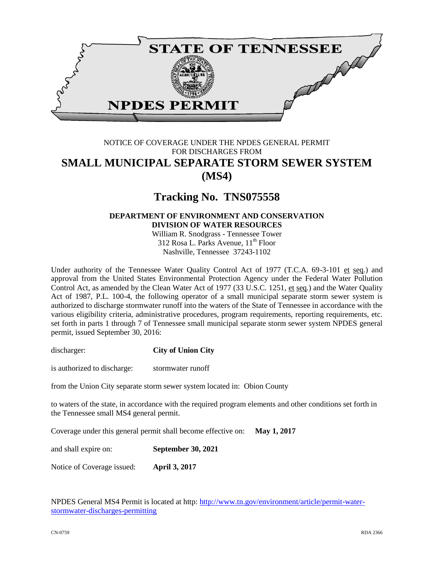

## NOTICE OF COVERAGE UNDER THE NPDES GENERAL PERMIT FOR DISCHARGES FROM **SMALL MUNICIPAL SEPARATE STORM SEWER SYSTEM (MS4)**

# **Tracking No. TNS075558**

### **DEPARTMENT OF ENVIRONMENT AND CONSERVATION DIVISION OF WATER RESOURCES**

William R. Snodgrass - Tennessee Tower 312 Rosa L. Parks Avenue,  $11<sup>th</sup>$  Floor Nashville, Tennessee 37243-1102

Under authority of the Tennessee Water Quality Control Act of 1977 (T.C.A. 69-3-101 et seq.) and approval from the United States Environmental Protection Agency under the Federal Water Pollution Control Act, as amended by the Clean Water Act of 1977 (33 U.S.C. 1251, et seq.) and the Water Quality Act of 1987, P.L. 100-4, the following operator of a small municipal separate storm sewer system is authorized to discharge stormwater runoff into the waters of the State of Tennessee in accordance with the various eligibility criteria, administrative procedures, program requirements, reporting requirements, etc. set forth in parts 1 through 7 of Tennessee small municipal separate storm sewer system NPDES general permit, issued September 30, 2016:

discharger: **City of Union City**

is authorized to discharge: stormwater runoff

from the Union City separate storm sewer system located in: Obion County

to waters of the state, in accordance with the required program elements and other conditions set forth in the Tennessee small MS4 general permit.

Coverage under this general permit shall become effective on: **May 1, 2017**

and shall expire on: **September 30, 2021**

Notice of Coverage issued: **April 3, 2017** 

NPDES General MS4 Permit is located at http: [http://www.tn.gov/environment/article/permit-water](http://www.tn.gov/environment/article/permit-water-stormwater-discharges-permitting)[stormwater-discharges-permitting](http://www.tn.gov/environment/article/permit-water-stormwater-discharges-permitting)